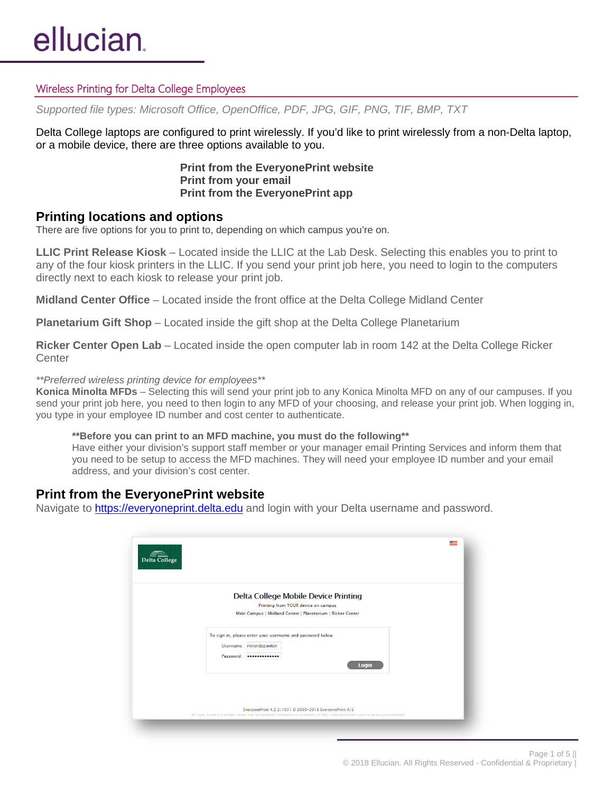## Wireless Printing for Delta College Employees

*Supported file types: Microsoft Office, OpenOffice, PDF, JPG, GIF, PNG, TIF, BMP, TXT*

Delta College laptops are configured to print wirelessly. If you'd like to print wirelessly from a non-Delta laptop, or a mobile device, there are three options available to you.

> **Print from the EveryonePrint website Print from your email Print from the EveryonePrint app**

# **Printing locations and options**

There are five options for you to print to, depending on which campus you're on.

**LLIC Print Release Kiosk** – Located inside the LLIC at the Lab Desk. Selecting this enables you to print to any of the four kiosk printers in the LLIC. If you send your print job here, you need to login to the computers directly next to each kiosk to release your print job.

**Midland Center Office** – Located inside the front office at the Delta College Midland Center

**Planetarium Gift Shop** – Located inside the gift shop at the Delta College Planetarium

**Ricker Center Open Lab** – Located inside the open computer lab in room 142 at the Delta College Ricker **Center** 

### *\*\*Preferred wireless printing device for employees\*\**

**Konica Minolta MFDs** – Selecting this will send your print job to any Konica Minolta MFD on any of our campuses. If you send your print job here, you need to then login to any MFD of your choosing, and release your print job. When logging in, you type in your employee ID number and cost center to authenticate.

#### **\*\*Before you can print to an MFD machine, you must do the following\*\***

Have either your division's support staff member or your manager email Printing Services and inform them that you need to be setup to access the MFD machines. They will need your employee ID number and your email address, and your division's cost center.

## **Print from the EveryonePrint website**

Navigate to [https://everyoneprint.delta.edu](https://everyoneprint.delta.edu/) and login with your Delta username and password.

| <b>Delta College Mobile Device Printing</b>                                                                            |       |  |
|------------------------------------------------------------------------------------------------------------------------|-------|--|
| Printing from YOUR device on campus<br>Main Campus   Midland Center   Planetarium   Ricker Center                      |       |  |
| To sign in, please enter your username and password below.<br>Username: mirandapawlak<br>Password: <b>eeeeeeeeeeee</b> | Login |  |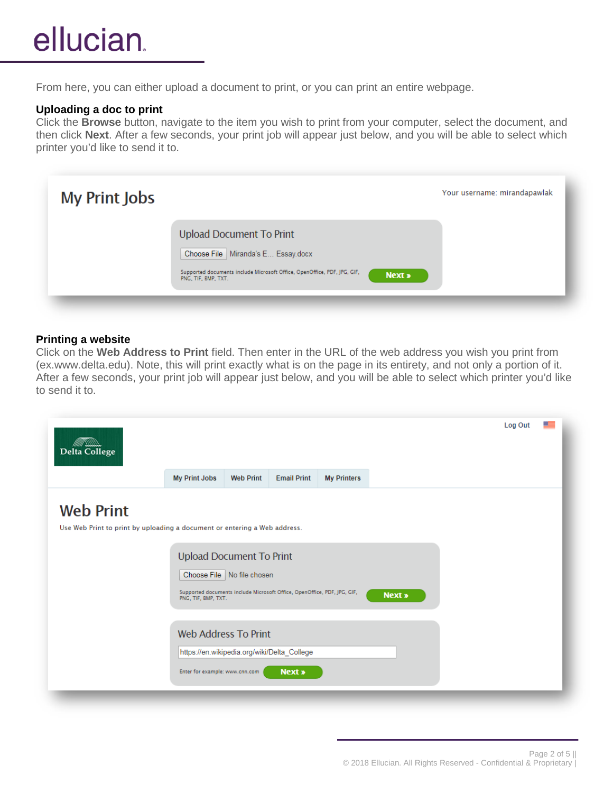# ellucian.

From here, you can either upload a document to print, or you can print an entire webpage.

## **Uploading a doc to print**

Click the **Browse** button, navigate to the item you wish to print from your computer, select the document, and then click **Next**. After a few seconds, your print job will appear just below, and you will be able to select which printer you'd like to send it to.

| <b>My Print Jobs</b> |                                                                                                                                                                                             | Your username: mirandapawlak |
|----------------------|---------------------------------------------------------------------------------------------------------------------------------------------------------------------------------------------|------------------------------|
|                      | <b>Upload Document To Print</b><br>Choose File   Miranda's E Essay.docx<br>Supported documents include Microsoft Office, OpenOffice, PDF, JPG, GIF,<br><b>Next »</b><br>PNG, TIF, BMP, TXT, |                              |

## **Printing a website**

Click on the **Web Address to Print** field. Then enter in the URL of the web address you wish you print from (ex.www.delta.edu). Note, this will print exactly what is on the page in its entirety, and not only a portion of it. After a few seconds, your print job will appear just below, and you will be able to select which printer you'd like to send it to.

| MMT SSSSS<br><b>Delta College</b>                                                             |                                                               |                              |                                                                          |                    |               | Log Out |  |
|-----------------------------------------------------------------------------------------------|---------------------------------------------------------------|------------------------------|--------------------------------------------------------------------------|--------------------|---------------|---------|--|
|                                                                                               | <b>My Print Jobs</b>                                          | <b>Web Print</b>             | <b>Email Print</b>                                                       | <b>My Printers</b> |               |         |  |
| <b>Web Print</b><br>Use Web Print to print by uploading a document or entering a Web address. | <b>Upload Document To Print</b><br>PNG, TIF, BMP, TXT.        | Choose File   No file chosen | Supported documents include Microsoft Office, OpenOffice, PDF, JPG, GIF, |                    | <b>Next »</b> |         |  |
|                                                                                               | <b>Web Address To Print</b><br>Enter for example: www.cnn.com |                              | https://en.wikipedia.org/wiki/Delta_College<br><b>Next »</b>             |                    |               |         |  |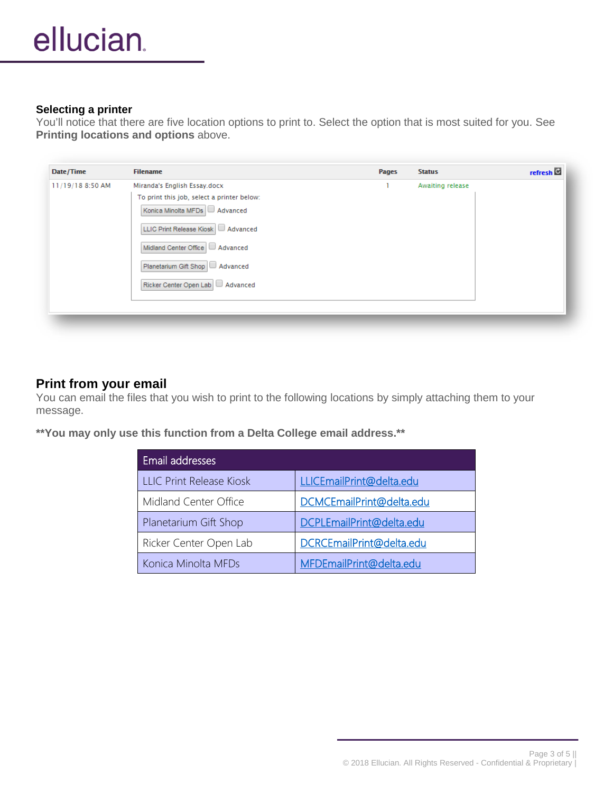## **Selecting a printer**

You'll notice that there are five location options to print to. Select the option that is most suited for you. See **Printing locations and options** above.

| Date/Time        | <b>Filename</b>                            | <b>Pages</b> | <b>Status</b>    | refresh <sup>C</sup> |
|------------------|--------------------------------------------|--------------|------------------|----------------------|
| 11/19/18 8:50 AM | Miranda's English Essay.docx               | ٠            | Awaiting release |                      |
|                  | To print this job, select a printer below: |              |                  |                      |
|                  | Konica Minolta MFDs Advanced               |              |                  |                      |
|                  | LLIC Print Release Kiosk   Advanced        |              |                  |                      |
|                  | Midland Center Office   Advanced           |              |                  |                      |
|                  | Planetarium Gift Shop   Advanced           |              |                  |                      |
|                  | Ricker Center Open Lab   Advanced          |              |                  |                      |
|                  |                                            |              |                  |                      |
|                  |                                            |              |                  |                      |

# **Print from your email**

You can email the files that you wish to print to the following locations by simply attaching them to your message.

**\*\*You may only use this function from a Delta College email address.\*\***

| Email addresses                 |                          |  |  |  |  |
|---------------------------------|--------------------------|--|--|--|--|
| <b>LLIC Print Release Kiosk</b> | LLICEmailPrint@delta.edu |  |  |  |  |
| Midland Center Office           | DCMCEmailPrint@delta.edu |  |  |  |  |
| Planetarium Gift Shop           | DCPLEmailPrint@delta.edu |  |  |  |  |
| Ricker Center Open Lab          | DCRCEmailPrint@delta.edu |  |  |  |  |
| Konica Minolta MFDs             | MFDEmailPrint@delta.edu  |  |  |  |  |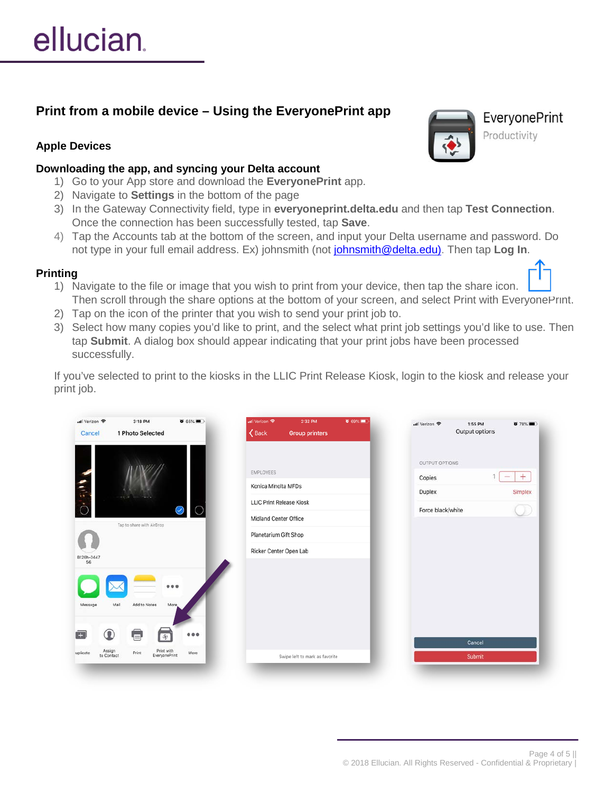# **Print from a mobile device – Using the EveryonePrint app**

# **Apple Devices**

## **Downloading the app, and syncing your Delta account**

- 1) Go to your App store and download the **EveryonePrint** app.
- 2) Navigate to **Settings** in the bottom of the page
- 3) In the Gateway Connectivity field, type in **everyoneprint.delta.edu** and then tap **Test Connection**. Once the connection has been successfully tested, tap **Save**.
- 4) Tap the Accounts tab at the bottom of the screen, and input your Delta username and password. Do not type in your full email address. Ex) johnsmith (not [johnsmith@delta.edu\)](mailto:johnsmith@delta.edu). Then tap **Log In**.

# **Printing**

- 1) Navigate to the file or image that you wish to print from your device, then tap the share icon. Then scroll through the share options at the bottom of your screen, and select Print with EveryonePrint.
- 2) Tap on the icon of the printer that you wish to send your print job to.
- 3) Select how many copies you'd like to print, and the select what print job settings you'd like to use. Then tap **Submit**. A dialog box should appear indicating that your print jobs have been processed successfully.

If you've selected to print to the kiosks in the LLIC Print Release Kiosk, login to the kiosk and release your print job.

| nil Verizon 주     | 3:18 PM                   | $65\%$                       | all Verizon 우                   | 2:32 PM               | $0.69\%$ | ull Verizon 후         | 1:55 PM<br>$878\%$ |
|-------------------|---------------------------|------------------------------|---------------------------------|-----------------------|----------|-----------------------|--------------------|
| Cancel            | 1 Photo Selected          |                              | $\langle$ Back                  | <b>Group printers</b> |          |                       | Output options     |
|                   |                           |                              |                                 |                       |          | <b>OUTPUT OPTIONS</b> |                    |
|                   |                           |                              | EMPLOYEES                       |                       |          | Copies                | $+$<br>$\sim$      |
|                   |                           |                              | Konica Minolta MFDs             |                       |          | Duplex                | Simplex            |
| O-Fill            |                           |                              | <b>LLIC Print Release Kiosk</b> |                       |          |                       |                    |
|                   |                           | $\bigcirc$<br>$(\checkmark)$ | Midland Center Office           |                       |          | Force black/white     |                    |
|                   | Tap to share with AirDrop |                              | Planetarium Gift Shop           |                       |          |                       |                    |
| B126h-0447        |                           |                              | Ricker Center Open Lab          |                       |          |                       |                    |
| 56                |                           |                              |                                 |                       |          |                       |                    |
|                   |                           | 000                          |                                 |                       |          |                       |                    |
|                   |                           |                              |                                 |                       |          |                       |                    |
| Message           | Mail<br>Add to Notes      | More                         |                                 |                       |          |                       |                    |
|                   |                           |                              |                                 |                       |          |                       |                    |
| $^\circledR$<br>o | U<br>审                    | 0.0.0                        |                                 |                       |          |                       | Cancel             |
|                   |                           |                              |                                 |                       |          |                       |                    |